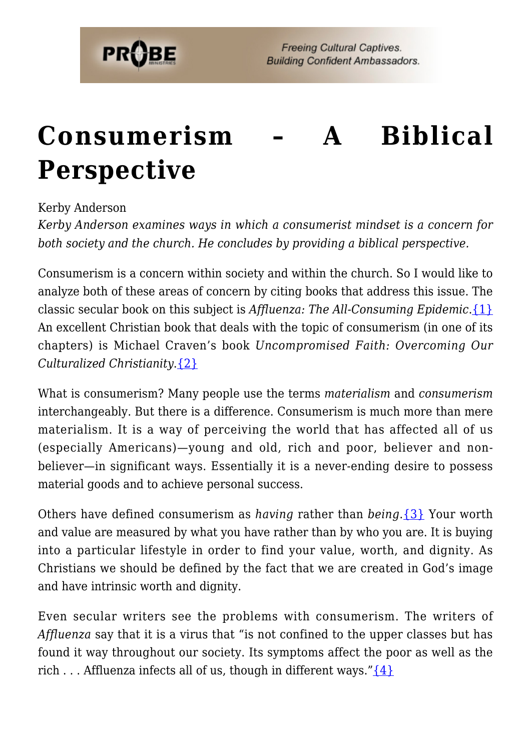

# **[Consumerism – A Biblical](https://probe.org/consumerism/) [Perspective](https://probe.org/consumerism/)**

#### Kerby Anderson

*Kerby Anderson examines ways in which a consumerist mindset is a concern for both society and the church. He concludes by providing a biblical perspective.*

Consumerism is a concern within society and within the church. So I would like to analyze both of these areas of concern by citing books that address this issue. The classic secular book on this subject is *Affluenza: The All-Consuming Epidemic*.[{1}](#page-7-0) An excellent Christian book that deals with the topic of consumerism (in one of its chapters) is Michael Craven's book *Uncompromised Faith: Overcoming Our Culturalized Christianity*.[{2}](#page-7-1)

What is consumerism? Many people use the terms *materialism* and *consumerism* interchangeably. But there is a difference. Consumerism is much more than mere materialism. It is a way of perceiving the world that has affected all of us (especially Americans)—young and old, rich and poor, believer and nonbeliever—in significant ways. Essentially it is a never-ending desire to possess material goods and to achieve personal success.

Others have defined consumerism as *having* rather than *being*.[{3}](#page-7-2) Your worth and value are measured by what you have rather than by who you are. It is buying into a particular lifestyle in order to find your value, worth, and dignity. As Christians we should be defined by the fact that we are created in God's image and have intrinsic worth and dignity.

Even secular writers see the problems with consumerism. The writers of *Affluenza* say that it is a virus that "is not confined to the upper classes but has found it way throughout our society. Its symptoms affect the poor as well as the rich . . . Affluenza infects all of us, though in different ways." $\{4\}$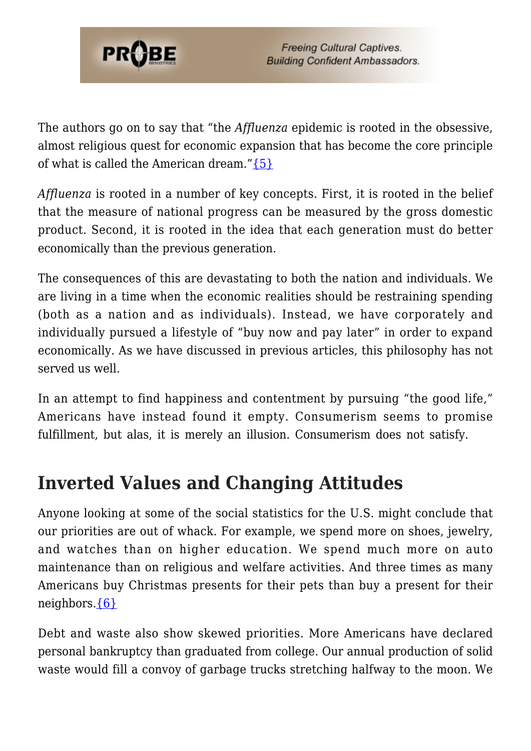

The authors go on to say that "the *Affluenza* epidemic is rooted in the obsessive, almost religious quest for economic expansion that has become the core principle of what is called the American dream." $\{5\}$ 

*Affluenza* is rooted in a number of key concepts. First, it is rooted in the belief that the measure of national progress can be measured by the gross domestic product. Second, it is rooted in the idea that each generation must do better economically than the previous generation.

The consequences of this are devastating to both the nation and individuals. We are living in a time when the economic realities should be restraining spending (both as a nation and as individuals). Instead, we have corporately and individually pursued a lifestyle of "buy now and pay later" in order to expand economically. As we have discussed in previous articles, this philosophy has not served us well.

In an attempt to find happiness and contentment by pursuing "the good life," Americans have instead found it empty. Consumerism seems to promise fulfillment, but alas, it is merely an illusion. Consumerism does not satisfy.

#### **Inverted Values and Changing Attitudes**

Anyone looking at some of the social statistics for the U.S. might conclude that our priorities are out of whack. For example, we spend more on shoes, jewelry, and watches than on higher education. We spend much more on auto maintenance than on religious and welfare activities. And three times as many Americans buy Christmas presents for their pets than buy a present for their neighbors[.{6}](#page-7-5)

Debt and waste also show skewed priorities. More Americans have declared personal bankruptcy than graduated from college. Our annual production of solid waste would fill a convoy of garbage trucks stretching halfway to the moon. We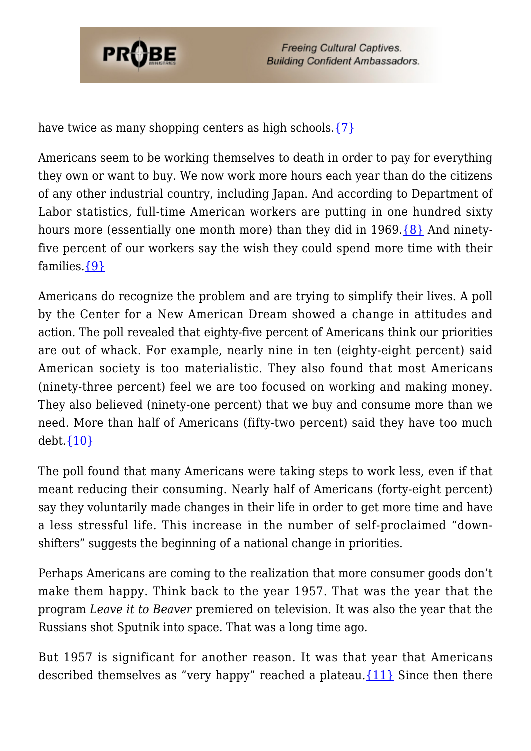

have twice as many shopping centers as high schools.  $\{7\}$ 

Americans seem to be working themselves to death in order to pay for everything they own or want to buy. We now work more hours each year than do the citizens of any other industrial country, including Japan. And according to Department of Labor statistics, full-time American workers are putting in one hundred sixty hours more (essentially one month more) than they did in 1969.[{8}](#page-7-7) And ninetyfive percent of our workers say the wish they could spend more time with their families.[{9}](#page-7-8)

Americans do recognize the problem and are trying to simplify their lives. A poll by the Center for a New American Dream showed a change in attitudes and action. The poll revealed that eighty-five percent of Americans think our priorities are out of whack. For example, nearly nine in ten (eighty-eight percent) said American society is too materialistic. They also found that most Americans (ninety-three percent) feel we are too focused on working and making money. They also believed (ninety-one percent) that we buy and consume more than we need. More than half of Americans (fifty-two percent) said they have too much  $debt.$   $\{10\}$ 

The poll found that many Americans were taking steps to work less, even if that meant reducing their consuming. Nearly half of Americans (forty-eight percent) say they voluntarily made changes in their life in order to get more time and have a less stressful life. This increase in the number of self-proclaimed "downshifters" suggests the beginning of a national change in priorities.

Perhaps Americans are coming to the realization that more consumer goods don't make them happy. Think back to the year 1957. That was the year that the program *Leave it to Beaver* premiered on television. It was also the year that the Russians shot Sputnik into space. That was a long time ago.

But 1957 is significant for another reason. It was that year that Americans described themselves as "very happy" reached a plateau. $\{11\}$  Since then there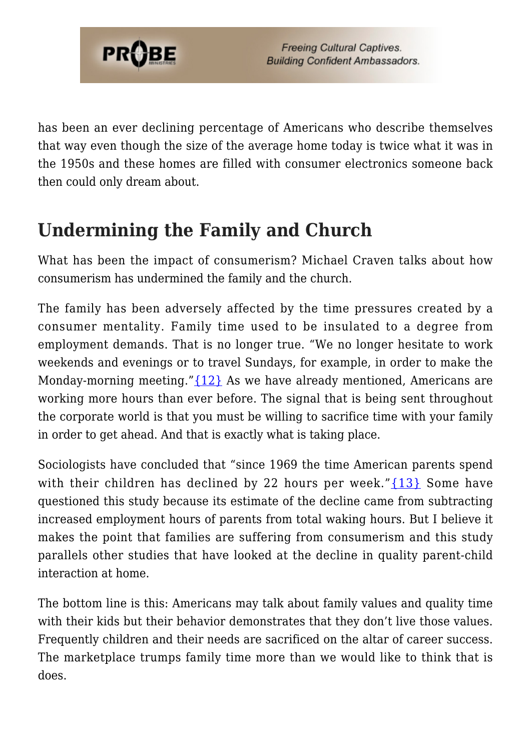

has been an ever declining percentage of Americans who describe themselves that way even though the size of the average home today is twice what it was in the 1950s and these homes are filled with consumer electronics someone back then could only dream about.

### **Undermining the Family and Church**

What has been the impact of consumerism? Michael Craven talks about how consumerism has undermined the family and the church.

The family has been adversely affected by the time pressures created by a consumer mentality. Family time used to be insulated to a degree from employment demands. That is no longer true. "We no longer hesitate to work weekends and evenings or to travel Sundays, for example, in order to make the Monday-morning meeting."[{12}](#page-7-11) As we have already mentioned, Americans are working more hours than ever before. The signal that is being sent throughout the corporate world is that you must be willing to sacrifice time with your family in order to get ahead. And that is exactly what is taking place.

Sociologists have concluded that "since 1969 the time American parents spend with their children has declined by 22 hours per week." $\{13\}$  Some have questioned this study because its estimate of the decline came from subtracting increased employment hours of parents from total waking hours. But I believe it makes the point that families are suffering from consumerism and this study parallels other studies that have looked at the decline in quality parent-child interaction at home.

The bottom line is this: Americans may talk about family values and quality time with their kids but their behavior demonstrates that they don't live those values. Frequently children and their needs are sacrificed on the altar of career success. The marketplace trumps family time more than we would like to think that is does.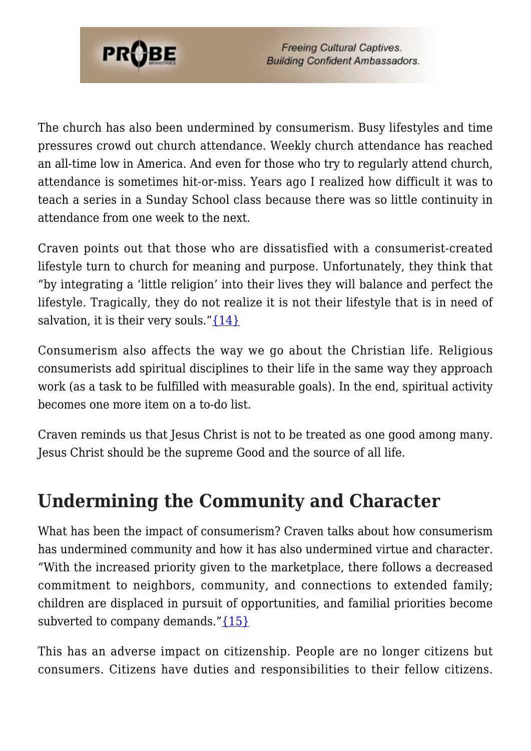

The church has also been undermined by consumerism. Busy lifestyles and time pressures crowd out church attendance. Weekly church attendance has reached an all-time low in America. And even for those who try to regularly attend church, attendance is sometimes hit-or-miss. Years ago I realized how difficult it was to teach a series in a Sunday School class because there was so little continuity in attendance from one week to the next.

Craven points out that those who are dissatisfied with a consumerist-created lifestyle turn to church for meaning and purpose. Unfortunately, they think that "by integrating a 'little religion' into their lives they will balance and perfect the lifestyle. Tragically, they do not realize it is not their lifestyle that is in need of salvation, it is their very souls." $\{14\}$ 

Consumerism also affects the way we go about the Christian life. Religious consumerists add spiritual disciplines to their life in the same way they approach work (as a task to be fulfilled with measurable goals). In the end, spiritual activity becomes one more item on a to-do list.

Craven reminds us that Jesus Christ is not to be treated as one good among many. Jesus Christ should be the supreme Good and the source of all life.

#### **Undermining the Community and Character**

What has been the impact of consumerism? Craven talks about how consumerism has undermined community and how it has also undermined virtue and character. "With the increased priority given to the marketplace, there follows a decreased commitment to neighbors, community, and connections to extended family; children are displaced in pursuit of opportunities, and familial priorities become subverted to company demands." $\{15\}$ 

This has an adverse impact on citizenship. People are no longer citizens but consumers. Citizens have duties and responsibilities to their fellow citizens.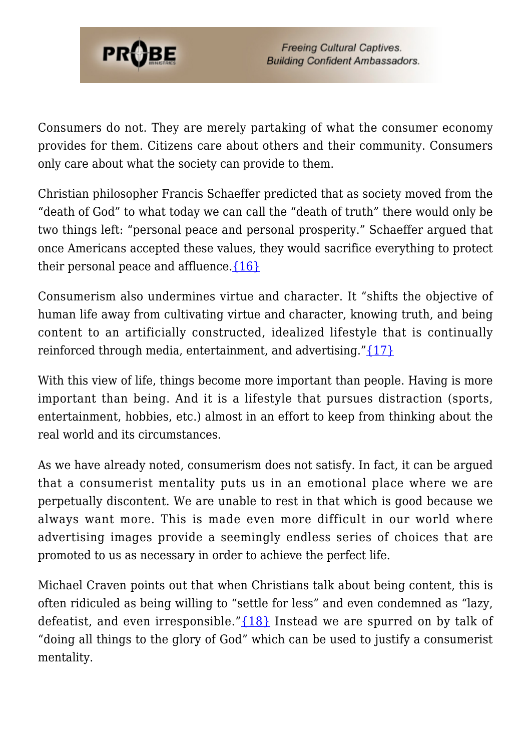

Consumers do not. They are merely partaking of what the consumer economy provides for them. Citizens care about others and their community. Consumers only care about what the society can provide to them.

Christian philosopher Francis Schaeffer predicted that as society moved from the "death of God" to what today we can call the "death of truth" there would only be two things left: "personal peace and personal prosperity." Schaeffer argued that once Americans accepted these values, they would sacrifice everything to protect their personal peace and affluence. $\{16\}$ 

Consumerism also undermines virtue and character. It "shifts the objective of human life away from cultivating virtue and character, knowing truth, and being content to an artificially constructed, idealized lifestyle that is continually reinforced through media, entertainment, and advertising." $\{17\}$ 

With this view of life, things become more important than people. Having is more important than being. And it is a lifestyle that pursues distraction (sports, entertainment, hobbies, etc.) almost in an effort to keep from thinking about the real world and its circumstances.

As we have already noted, consumerism does not satisfy. In fact, it can be argued that a consumerist mentality puts us in an emotional place where we are perpetually discontent. We are unable to rest in that which is good because we always want more. This is made even more difficult in our world where advertising images provide a seemingly endless series of choices that are promoted to us as necessary in order to achieve the perfect life.

Michael Craven points out that when Christians talk about being content, this is often ridiculed as being willing to "settle for less" and even condemned as "lazy, defeatist, and even irresponsible." ${18}$  Instead we are spurred on by talk of "doing all things to the glory of God" which can be used to justify a consumerist mentality.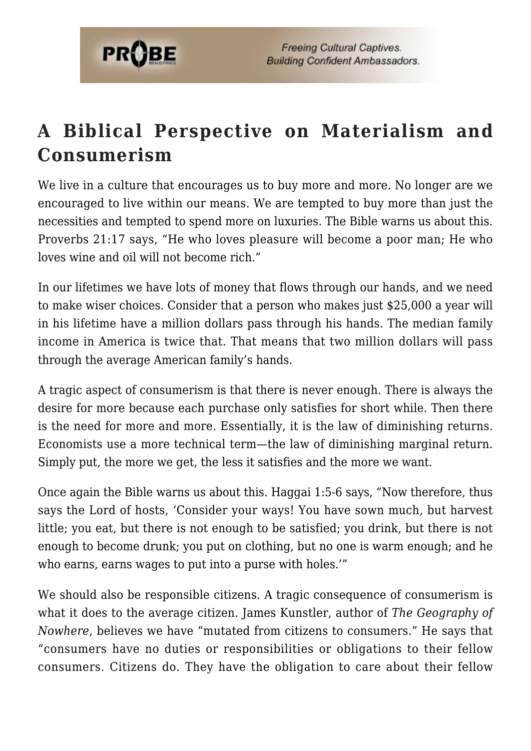

## **A Biblical Perspective on Materialism and Consumerism**

We live in a culture that encourages us to buy more and more. No longer are we encouraged to live within our means. We are tempted to buy more than just the necessities and tempted to spend more on luxuries. The Bible warns us about this. Proverbs 21:17 says, "He who loves pleasure will become a poor man; He who loves wine and oil will not become rich."

In our lifetimes we have lots of money that flows through our hands, and we need to make wiser choices. Consider that a person who makes just \$25,000 a year will in his lifetime have a million dollars pass through his hands. The median family income in America is twice that. That means that two million dollars will pass through the average American family's hands.

A tragic aspect of consumerism is that there is never enough. There is always the desire for more because each purchase only satisfies for short while. Then there is the need for more and more. Essentially, it is the law of diminishing returns. Economists use a more technical term—the law of diminishing marginal return. Simply put, the more we get, the less it satisfies and the more we want.

Once again the Bible warns us about this. Haggai 1:5-6 says, "Now therefore, thus says the Lord of hosts, 'Consider your ways! You have sown much, but harvest little; you eat, but there is not enough to be satisfied; you drink, but there is not enough to become drunk; you put on clothing, but no one is warm enough; and he who earns, earns wages to put into a purse with holes.'"

We should also be responsible citizens. A tragic consequence of consumerism is what it does to the average citizen. James Kunstler, author of *The Geography of Nowhere*, believes we have "mutated from citizens to consumers." He says that "consumers have no duties or responsibilities or obligations to their fellow consumers. Citizens do. They have the obligation to care about their fellow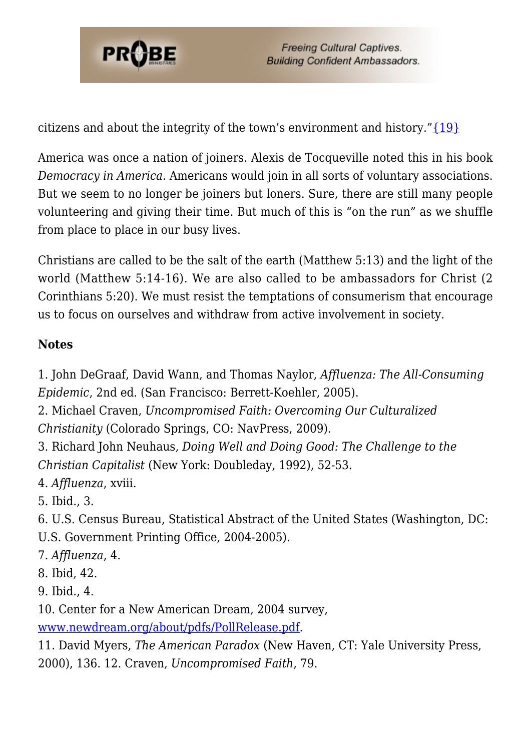

citizens and about the integrity of the town's environment and history." $\{19\}$ 

America was once a nation of joiners. Alexis de Tocqueville noted this in his book *Democracy in America*. Americans would join in all sorts of voluntary associations. But we seem to no longer be joiners but loners. Sure, there are still many people volunteering and giving their time. But much of this is "on the run" as we shuffle from place to place in our busy lives.

Christians are called to be the salt of the earth (Matthew 5:13) and the light of the world (Matthew 5:14-16). We are also called to be ambassadors for Christ (2 Corinthians 5:20). We must resist the temptations of consumerism that encourage us to focus on ourselves and withdraw from active involvement in society.

#### **Notes**

<span id="page-7-0"></span>1. John DeGraaf, David Wann, and Thomas Naylor, *Affluenza: The All-Consuming Epidemic*, 2nd ed. (San Francisco: Berrett-Koehler, 2005).

- <span id="page-7-1"></span>2. Michael Craven, *Uncompromised Faith: Overcoming Our Culturalized Christianity* (Colorado Springs, CO: NavPress, 2009).
- <span id="page-7-2"></span>3. Richard John Neuhaus, *Doing Well and Doing Good: The Challenge to the Christian Capitalist* (New York: Doubleday, 1992), 52-53.
- <span id="page-7-3"></span>4. *Affluenza*, xviii.
- <span id="page-7-4"></span>5. Ibid., 3.
- <span id="page-7-5"></span>6. U.S. Census Bureau, Statistical Abstract of the United States (Washington, DC: U.S. Government Printing Office, 2004-2005).
- <span id="page-7-6"></span>7. *Affluenza*, 4.
- <span id="page-7-7"></span>8. Ibid, 42.
- <span id="page-7-8"></span>9. Ibid., 4.
- <span id="page-7-9"></span>10. Center for a New American Dream, 2004 survey,
- [www.newdream.org/about/pdfs/PollRelease.pdf](http://www.newdream.org/about/pdfs/PollRelease.pdf).
- <span id="page-7-12"></span><span id="page-7-11"></span><span id="page-7-10"></span>11. David Myers, *The American Paradox* (New Haven, CT: Yale University Press, 2000), 136. 12. Craven, *Uncompromised Faith*, 79.